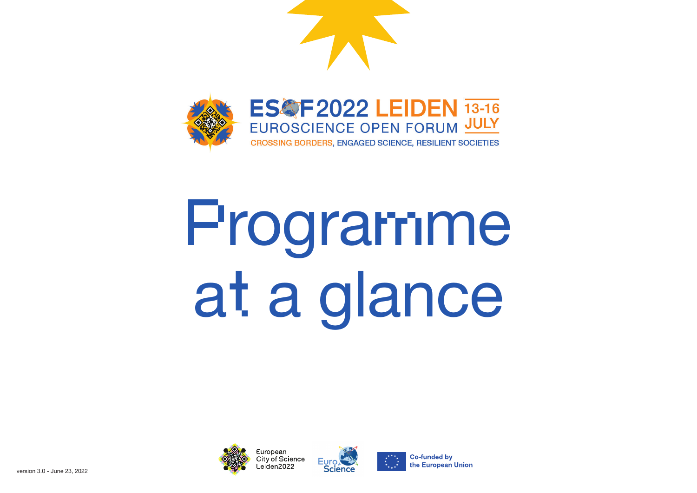

# Programme at a glance



European **City of Science** eiden2022





**Co-funded by** the European Union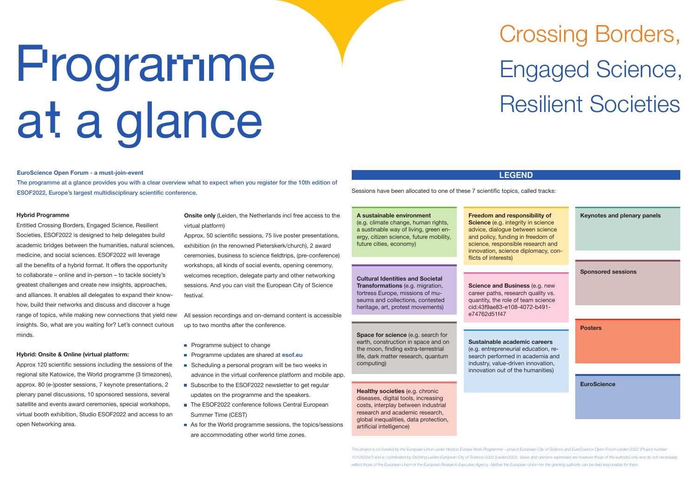### **Hybrid Programme**

Entitled Crossing Borders, Engaged Science, Resilient Societies, ESOF2022 is designed to help delegates build academic bridges between the humanities, natural sciences, medicine, and social sciences. ESOF2022 will leverage all the benefits of a hybrid format. It offers the opportunity to collaborate – online and in-person – to tackle society's greatest challenges and create new insights, approaches, and alliances. It enables all delegates to expand their knowhow, build their networks and discuss and discover a huge range of topics, while making new connections that yield new insights. So, what are you waiting for? Let's connect curious minds.

**Onsite only** (Leiden, the Netherlands incl free access to the virtual platform)

### **Hybrid: Onsite & Online (virtual platform:**

Approx 120 scientific sessions including the sessions of the regional site Katowice, the World programme (3 timezones), approx. 80 (e-)poster sessions, 7 keynote presentations, 2 plenary panel discussions, 10 sponsored sessions, several satellite and events award ceremonies, special workshops, virtual booth exhibition, Studio ESOF2022 and access to an open Networking area.

- **Programme subject to change**
- Programme updates are shared at **esof.eu**
- Scheduling a personal program will be two weeks in advance in the virtual conference platform and mobile app.
- Subscribe to the ESOF2022 newsletter to get regular updates on the programme and the speakers.
- The ESOF2022 conference follows Central European Summer Time (CEST)
- As for the World programme sessions, the topics/sessions are accommodating other world time zones.

Approx. 50 scientific sessions, 75 live poster presentations, exhibition (in the renowned Pieterskerk/church), 2 award ceremonies, business to science fieldtrips, (pre-conference) workshops, all kinds of social events, opening ceremony, welcomes reception, delegate party and other networking sessions. And you can visit the European City of Science festival.

> **Healthy societies** (e.g. chronic diseases, digital tools, increasing costs, interplay between industrial research and academic research, global inequalities, data protection, artificial intelligence)

All session recordings and on-demand content is accessible up to two months after the conference.

# Crossing Borders, Engaged Science, Resilient Societies

### **LEGEND**

This project is co-funded by the European Union under Horizon Europe Work Programme – project European City of Science and EuroScience Open Forum Leiden 2022 (Project number *101052247) and is coordinated by Stichting Leiden European City of Science 2022 (Leiden2022). Views and opinions expressed are however those of the author(s) only and do not necessarily reflect those of the European Union or the European Research Executive Agency. Neither the European Union nor the granting authority can be held responsible for them.* 

**A sustainable environment**  (e.g. climate change, human rights, a sustinable way of living, green energy, citizen science, future mobility, future cities, economy)

**Cultural Identities and Societal Transformations** (e.g. migration, fortress Europe, missions of museums and collections, contested heritage, art, protest movements)

**Space for science** (e.g. search for earth, construction in space and on the moon, finding extra-terrestrial life, dark matter research, quantum computing)

**Freedom and responsibility of Science** (e.g. integrity in science advice, dialogue between science and policy, funding in freedom of science, responsible research and innovation, science diplomacy, conflicts of interests)

| <b>Keynotes and plenary panels</b> |
|------------------------------------|
|                                    |
| <b>Sponsored sessions</b>          |
|                                    |
| <b>Posters</b>                     |
|                                    |
| <b>EuroScience</b>                 |

**Sustainable academic careers**

(e.g. entrepreneurial education, re-

search performed in academia and industry, value-driven innovation, innovation out of the humanities)

**Science and Business** (e.g. new career paths, research quality vs. quantity, the role of team science cid:43f9ae83-e108-4072-b491 e74762d51f47

Sessions have been allocated to one of these 7 scientific topics, called tracks:

### **EuroScience Open Forum - a must-join-event**

The programme at a glance provides you with a clear overview what to expect when you register for the 10th edition of ESOF2022, Europe's largest multidisciplinary scientific conference.

# Programme at a glance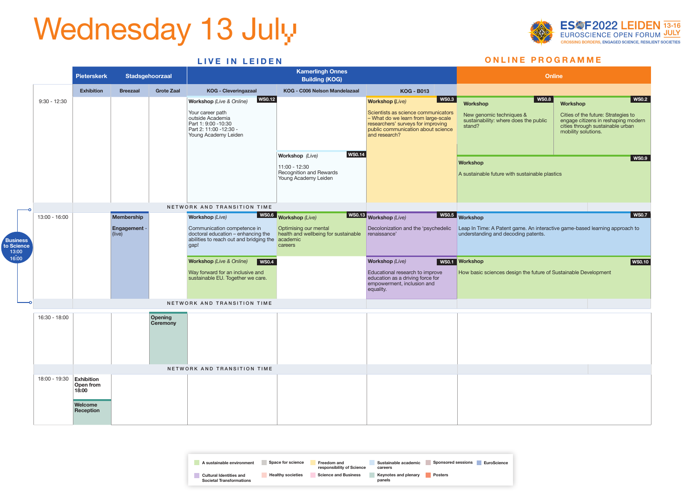| A sustainable environment                                         | <b>Space for science</b> | Freedom and<br>responsibility of Science | Sustainable academic<br>careers | <b>Sponsored sessions</b><br><b>EuroScience</b> |
|-------------------------------------------------------------------|--------------------------|------------------------------------------|---------------------------------|-------------------------------------------------|
| <b>Cultural Identities and</b><br><b>Societal Transformations</b> | <b>Healthy societies</b> | <b>Science and Business</b>              | Keynotes and plenary<br>panels  | <b>Posters</b>                                  |



# Wednesday 13 July

|                                 |                          | <b>Pieterskerk</b>                         |                                                    | Stadsgehoorzaal                   |                                                                                                                                                                    | <b>Kamerlingh Onnes</b><br><b>Building (KOG)</b>                                                     |                                                                                                                                                                                                                    | <b>Online</b>                                                                                                                        |                                                                                                                                                                   |
|---------------------------------|--------------------------|--------------------------------------------|----------------------------------------------------|-----------------------------------|--------------------------------------------------------------------------------------------------------------------------------------------------------------------|------------------------------------------------------------------------------------------------------|--------------------------------------------------------------------------------------------------------------------------------------------------------------------------------------------------------------------|--------------------------------------------------------------------------------------------------------------------------------------|-------------------------------------------------------------------------------------------------------------------------------------------------------------------|
|                                 |                          | <b>Exhibition</b>                          | <b>Breezaal</b>                                    | <b>Grote Zaal</b>                 | <b>KOG - Cleveringazaal</b>                                                                                                                                        | KOG - C006 Nelson Mandelazaal                                                                        | <b>KOG - B013</b>                                                                                                                                                                                                  |                                                                                                                                      |                                                                                                                                                                   |
|                                 | $9:30 - 12:30$           |                                            |                                                    |                                   | <b>WS0.12</b><br><b>Workshop</b> (Live & Online)<br>Your career path<br>outside Academia<br>Part 1: 9:00 -10:30<br>Part 2: 11:00 - 12:30 -<br>Young Academy Leiden |                                                                                                      | $\vert$ WS0.3<br><b>Workshop (Live)</b><br>Scientists as science communicators<br>- What do we learn from large-scale<br>researchers' surveys for improving<br>public communication about science<br>and research? | WS0.8 $ $<br><b>Workshop</b><br>New genomic techniques &<br>sustainability: where does the public<br>stand?                          | <b>WS0.2</b><br>Workshop<br>Cities of the future: Strategies to<br>engage citizens in reshaping modern<br>cities through sustainable urban<br>mobility solutions. |
|                                 |                          |                                            |                                                    |                                   |                                                                                                                                                                    | <b>WS0.14</b><br>Workshop (Live)<br>11:00 - 12:30<br>Recognition and Rewards<br>Young Academy Leiden |                                                                                                                                                                                                                    | <b>Workshop</b><br>A sustainable future with sustainable plastics                                                                    | <b>WS0.9</b>                                                                                                                                                      |
|                                 |                          |                                            |                                                    |                                   | NETWORK AND TRANSITION TIME                                                                                                                                        |                                                                                                      |                                                                                                                                                                                                                    |                                                                                                                                      |                                                                                                                                                                   |
| Business<br>to Science<br>13:00 | 13:00 - 16:00            |                                            | <b>Membership</b><br><b>Engagement -</b><br>(live) |                                   | <b>Workshop</b> (Live)<br>Communication competence in<br>doctoral education - enhancing the<br>abilities to reach out and bridging the academic<br>gap!            | WS0.6 Workshop (Live)<br>Optimising our mental<br>health and wellbeing for sustainable<br>careers    | WS0.13 Workshop (Live)<br>Decolonization and the 'psychedelic<br>renaissance'                                                                                                                                      | WS0.5 Workshop<br>Leap In Time: A Patent game. An interactive game-based learning approach to<br>understanding and decoding patents. | <b>WS0.7</b>                                                                                                                                                      |
| 16:00                           |                          |                                            |                                                    |                                   | <b>Workshop</b> (Live & Online)<br>  WS0.4<br>Way forward for an inclusive and<br>sustainable EU. Together we care.                                                |                                                                                                      | <b>Workshop</b> (Live)<br>Educational research to improve<br>education as a driving force for<br>empowerment, inclusion and<br>equality.                                                                           | WS0.1 Workshop<br>How basic sciences design the future of Sustainable Development                                                    | WS0.10                                                                                                                                                            |
|                                 |                          |                                            |                                                    |                                   | NETWORK AND TRANSITION TIME                                                                                                                                        |                                                                                                      |                                                                                                                                                                                                                    |                                                                                                                                      |                                                                                                                                                                   |
|                                 | 16:30 - 18:00            |                                            |                                                    | <b>Opening</b><br><b>Ceremony</b> |                                                                                                                                                                    |                                                                                                      |                                                                                                                                                                                                                    |                                                                                                                                      |                                                                                                                                                                   |
|                                 |                          |                                            |                                                    |                                   | NETWORK AND TRANSITION TIME                                                                                                                                        |                                                                                                      |                                                                                                                                                                                                                    |                                                                                                                                      |                                                                                                                                                                   |
|                                 | 18:00 - 19:30 Exhibition | Open from<br>18:00<br>Welcome<br>Reception |                                                    |                                   |                                                                                                                                                                    |                                                                                                      |                                                                                                                                                                                                                    |                                                                                                                                      |                                                                                                                                                                   |
|                                 |                          |                                            |                                                    |                                   |                                                                                                                                                                    |                                                                                                      |                                                                                                                                                                                                                    |                                                                                                                                      |                                                                                                                                                                   |

# **LIVE IN LEIDEN ONLINE PROGRAMME**

|                                                                                                                    | <b>Online</b>                                                                                                                         |
|--------------------------------------------------------------------------------------------------------------------|---------------------------------------------------------------------------------------------------------------------------------------|
|                                                                                                                    |                                                                                                                                       |
| <b>WS0.8</b><br><b>Workshop</b>                                                                                    | <b>WS0.2</b><br><b>Workshop</b>                                                                                                       |
| New genomic techniques &<br>sustainability: where does the public<br>stand?                                        | Cities of the future: Strategies to<br>engage citizens in reshaping modern<br>cities through sustainable urban<br>mobility solutions. |
| <b>Workshop</b>                                                                                                    | <b>WS0.9</b>                                                                                                                          |
| A sustainable future with sustainable plastics                                                                     |                                                                                                                                       |
| <b>Workshop</b>                                                                                                    | <b>WS0.7</b>                                                                                                                          |
| Leap In Time: A Patent game. An interactive game-based learning approach to<br>understanding and decoding patents. |                                                                                                                                       |
| <b>Workshop</b><br>How basic sciences design the future of Sustainable Development                                 | <b>WS0.10</b>                                                                                                                         |
|                                                                                                                    |                                                                                                                                       |
|                                                                                                                    |                                                                                                                                       |
|                                                                                                                    |                                                                                                                                       |
|                                                                                                                    |                                                                                                                                       |
|                                                                                                                    |                                                                                                                                       |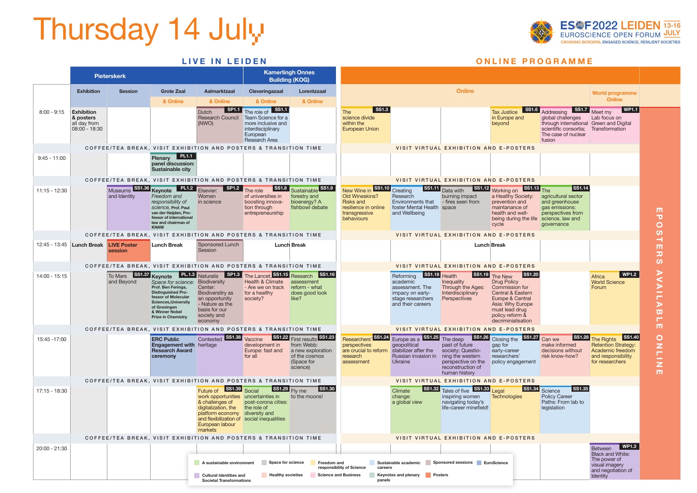# Thursday 14 July

|                 |                                                                 | <b>Pieterskerk</b> |                                                                                                                                                                                                         |                                                                                                                                                                                                        | <b>Kamerlingh Onnes</b><br><b>Building (KOG)</b>                                                                      |                                                                                                           |                                                                                                                          |                                                                                                                         |                                                                                                                                                                                     |                                                                                                                                                                                          |                                                                                                                                                           |                                                                                                                                                                            |  |
|-----------------|-----------------------------------------------------------------|--------------------|---------------------------------------------------------------------------------------------------------------------------------------------------------------------------------------------------------|--------------------------------------------------------------------------------------------------------------------------------------------------------------------------------------------------------|-----------------------------------------------------------------------------------------------------------------------|-----------------------------------------------------------------------------------------------------------|--------------------------------------------------------------------------------------------------------------------------|-------------------------------------------------------------------------------------------------------------------------|-------------------------------------------------------------------------------------------------------------------------------------------------------------------------------------|------------------------------------------------------------------------------------------------------------------------------------------------------------------------------------------|-----------------------------------------------------------------------------------------------------------------------------------------------------------|----------------------------------------------------------------------------------------------------------------------------------------------------------------------------|--|
|                 | <b>Exhibition</b>                                               | <b>Session</b>     | <b>Grote Zaal</b>                                                                                                                                                                                       | Aalmarktzaal                                                                                                                                                                                           | Cleveringazaal                                                                                                        | Lorentzzaal                                                                                               |                                                                                                                          |                                                                                                                         | <b>Online</b>                                                                                                                                                                       |                                                                                                                                                                                          |                                                                                                                                                           | <b>World programme</b>                                                                                                                                                     |  |
|                 |                                                                 |                    | & Online                                                                                                                                                                                                | & Online                                                                                                                                                                                               | & Online                                                                                                              | & Online                                                                                                  |                                                                                                                          |                                                                                                                         |                                                                                                                                                                                     |                                                                                                                                                                                          |                                                                                                                                                           | <b>Online</b>                                                                                                                                                              |  |
| $8:00 - 9:15$   | <b>Exhibition</b><br>& posters<br>all day from<br>08:00 - 18:30 |                    |                                                                                                                                                                                                         | Dutch<br>Research Council<br>(NWO)                                                                                                                                                                     | SP1.1 The role of SS1.1<br>Team Science for a<br>more inclusive and<br>interdisciplinary<br>European<br>Research Area |                                                                                                           | $\overline{\phantom{1}}$ SS1.3<br><b>The</b><br>science divide<br>within the<br><b>European Union</b>                    |                                                                                                                         |                                                                                                                                                                                     | <b>Tax Justice</b><br>in Europe and<br>beyond                                                                                                                                            | SS1.6 Addressing<br>global challenges<br>through international Green and Digital<br>scientific consortia; Transformation<br>The case of nuclear<br>fusion | $\blacksquare$ WP1.1<br>SS1.7 Meet my<br>Lab focus on                                                                                                                      |  |
|                 |                                                                 |                    |                                                                                                                                                                                                         | COFFEE/TEA BREAK, VISIT EXHIBITION AND POSTERS & TRANSITION TIME                                                                                                                                       |                                                                                                                       |                                                                                                           |                                                                                                                          |                                                                                                                         | VISIT VIRTUAL EXHIBITION AND E-POSTERS                                                                                                                                              |                                                                                                                                                                                          |                                                                                                                                                           |                                                                                                                                                                            |  |
| $9:45 - 11:00$  |                                                                 |                    | Plenary PL1.1<br>panel discussion:<br>Sustainable city                                                                                                                                                  |                                                                                                                                                                                                        |                                                                                                                       |                                                                                                           |                                                                                                                          |                                                                                                                         |                                                                                                                                                                                     |                                                                                                                                                                                          |                                                                                                                                                           |                                                                                                                                                                            |  |
|                 |                                                                 |                    |                                                                                                                                                                                                         | COFFEE/TEA BREAK, VISIT EXHIBITION AND POSTERS & TRANSITION TIME                                                                                                                                       |                                                                                                                       |                                                                                                           |                                                                                                                          |                                                                                                                         | VISIT VIRTUAL EXHIBITION AND E-POSTERS                                                                                                                                              |                                                                                                                                                                                          |                                                                                                                                                           |                                                                                                                                                                            |  |
| $11:15 - 12:30$ |                                                                 | and Identity       | Freedom and<br>responsibility of<br>science. Prof. Paul<br>van der Heijden, Pro-<br>fessor of international<br>law and chairman of<br><b>KNAW</b>                                                       | Museums SS1.36 Keynote PL1.2 Elsevier: SP1.2<br>Women<br>in science                                                                                                                                    | The role<br>of universities in<br>boosting innova-<br>tion through<br>entrepreneurship                                | SS1.8 Sustainable SS1.9<br>forestry and<br>bioenergy? A<br>fishbowl debate                                | New Wine in SS1.10 Creating<br>Old Wineskins?<br><b>Risks and</b><br>resilience in online<br>transgressive<br>behaviours | Research<br>Environments that<br>foster Mental Health space<br>and Wellbeing                                            | SS1.11 Data with<br>burning impact<br>- fires seen from                                                                                                                             | SS1.12 Working on SS1.13 The<br>a Healthy Society:<br>prevention and<br>maintanance of<br>health and well-<br>being during the life science, law and<br>cycle                            | SS1.14<br>agricultural sector<br>and greenhouse<br>gas emissions:<br>perspectives from<br>governance                                                      | ш<br>$\overline{\mathbf{u}}$<br>$\mathbf O$                                                                                                                                |  |
|                 |                                                                 |                    |                                                                                                                                                                                                         | COFFEE/TEA BREAK, VISIT EXHIBITION AND POSTERS & TRANSITION TIME                                                                                                                                       |                                                                                                                       |                                                                                                           |                                                                                                                          |                                                                                                                         | VISIT VIRTUAL EXHIBITION AND E-POSTERS                                                                                                                                              |                                                                                                                                                                                          |                                                                                                                                                           | $\boldsymbol{\omega}$                                                                                                                                                      |  |
|                 | 12:45 - 13:45 Lunch Break LIVE Poster                           | session            | <b>Lunch Break</b>                                                                                                                                                                                      | Sponsored Lunch<br>Session                                                                                                                                                                             |                                                                                                                       | <b>Lunch Break</b>                                                                                        |                                                                                                                          |                                                                                                                         | <b>Lunch Break</b>                                                                                                                                                                  |                                                                                                                                                                                          |                                                                                                                                                           | m<br>$\overline{\mathbf{u}}$<br>$\boldsymbol{\omega}$                                                                                                                      |  |
|                 |                                                                 |                    |                                                                                                                                                                                                         | COFFEE/TEA BREAK, VISIT EXHIBITION AND POSTERS & TRANSITION TIME                                                                                                                                       |                                                                                                                       |                                                                                                           |                                                                                                                          |                                                                                                                         | VISIT VIRTUAL EXHIBITION AND E-POSTERS                                                                                                                                              |                                                                                                                                                                                          |                                                                                                                                                           |                                                                                                                                                                            |  |
| 14:00 - 15:15   |                                                                 | and Beyond         | Space for science: Biodiversity<br>Prof. Ben Feringa,<br><b>Distinguished Pro-</b><br>fessor of Molecular<br><b>Sciences, University</b><br>of Groningen<br>& Winner Nobel<br><b>Prize in Chemistry</b> | To Mars SS1.37 Keynote PL.1.3 Naturalis SP1.3 The Lancet, SS1.15 Research SS1.16<br>Center:<br><b>Biodiversitry as</b><br>an opportunity<br>- Nature as the<br>basis for our<br>society and<br>economy | Health & Climate<br>- Are we on track<br>for a healthy<br>society?                                                    | assessment<br>reform - what<br>does good look<br>like?                                                    |                                                                                                                          | SS1.18 Health<br>Reforming<br>academic<br>assessment. The<br>impacy on early-<br>stage researchers<br>and their careers | Inequality<br>Through the Ages:<br>Interdisciplinary<br>Perspectives                                                                                                                | SS1.19 The New<br>SS1.20<br><b>Drug Policy</b><br>Commission for<br>Central & Eastern<br>Europe & Central<br>Asia: Why Europe<br>must lead drug<br>policy reform &<br>decriminialisation |                                                                                                                                                           | N<br>WP1.2<br>Africa<br><b>World Science</b><br>$\blacktriangleright$<br>Forum<br>-<br>Н<br>$\blacktriangleright$<br>$\overline{\mathbf{u}}$<br>г                          |  |
|                 |                                                                 |                    |                                                                                                                                                                                                         | COFFEE/TEA BREAK, VISIT EXHIBITION AND POSTERS & TRANSITION TIME                                                                                                                                       |                                                                                                                       |                                                                                                           |                                                                                                                          |                                                                                                                         | VISIT VIRTUAL EXHIBITION AND E-POSTERS                                                                                                                                              |                                                                                                                                                                                          |                                                                                                                                                           | m.                                                                                                                                                                         |  |
| 15:45 - 17:00   |                                                                 |                    | <b>ERC Public</b><br><b>Engagement with heritage</b><br><b>Research Award</b><br>ceremony                                                                                                               | Contested SS1.38                                                                                                                                                                                       | Vaccine<br>development in<br>Europe: fast and<br>for all                                                              | SS1.22 First results SS1.23<br>from Webb:<br>a new exploration<br>of the cosmos<br>(Space for<br>science) | perspectives<br>are crucial to reform<br>research<br>assessment                                                          | geopolitical<br>stabilizer after the<br>Russian invasion in ning the western<br>Ukraine                                 | Researchers' SS1.24 Europe as a SS1.25 The deep SS1.26 Closing the SS1.27 Can we<br>past of future<br>society: Questio-<br>perspective on the<br>reconstruction of<br>human history | gap for<br>early-career<br>researchers'<br>policy engagement                                                                                                                             | make informed<br>decisions without<br>risk know-how?                                                                                                      | SS1.28 The Rights<br>$\textsf{S}$ S1.40<br>$\circ$<br>Z<br><b>Retention Strategy:</b><br>Academic freedom<br>m,<br>and responsibility<br>$\bar{z}$<br>for researchers<br>m |  |
|                 |                                                                 |                    |                                                                                                                                                                                                         | COFFEE/TEA BREAK, VISIT EXHIBITION AND POSTERS & TRANSITION TIME                                                                                                                                       |                                                                                                                       |                                                                                                           |                                                                                                                          |                                                                                                                         | VISIT VIRTUAL EXHIBITION AND E-POSTERS                                                                                                                                              |                                                                                                                                                                                          |                                                                                                                                                           |                                                                                                                                                                            |  |
| 17:15 - 18:30   |                                                                 |                    |                                                                                                                                                                                                         | SS1.39 Social<br>Future of<br>& challenges of<br>digitalization, the<br>platform economy diversity and<br>and flexibilization of social inequalities<br>European labour<br>markets                     | SS1.29 Fly me<br>work opportunities uncertainties in to the moons!<br>post-corona cities:<br>the role of              | SS1.30                                                                                                    |                                                                                                                          | <b>SS1.32</b><br>Climate<br>change:<br>a global view                                                                    | Tales of five SS1.33 Legal<br>inspiring women<br>navigating today's<br>life-career minefield!                                                                                       | $\textsf{S}51.34$<br>Technologies                                                                                                                                                        | SS1.35<br>Science<br><b>Policy Career</b><br>Paths: From lab to<br>legislation                                                                            |                                                                                                                                                                            |  |
|                 |                                                                 |                    |                                                                                                                                                                                                         | COFFEE/TEA BREAK, VISIT EXHIBITION AND POSTERS & TRANSITION TIME                                                                                                                                       |                                                                                                                       |                                                                                                           |                                                                                                                          |                                                                                                                         | VISIT VIRTUAL EXHIBITION AND E-POSTERS                                                                                                                                              |                                                                                                                                                                                          |                                                                                                                                                           |                                                                                                                                                                            |  |
| 20:00 - 21:30   |                                                                 |                    |                                                                                                                                                                                                         |                                                                                                                                                                                                        |                                                                                                                       |                                                                                                           |                                                                                                                          |                                                                                                                         |                                                                                                                                                                                     |                                                                                                                                                                                          |                                                                                                                                                           | <b>WP1.3</b><br>Between<br><b>Black and White:</b>                                                                                                                         |  |
|                 |                                                                 |                    |                                                                                                                                                                                                         | A sustainable environment<br><b>Cultural Identities and</b><br><b>Societal Transformations</b>                                                                                                         | Space for science<br><b>Healthy societies</b>                                                                         | Freedom and                                                                                               | responsibility of Science<br>careers<br><b>Science and Business</b><br>panels                                            | Keynotes and plenary Posters                                                                                            | Sustainable academic Sponsored sessions EuroScience                                                                                                                                 |                                                                                                                                                                                          |                                                                                                                                                           | The power of<br>visual imagery<br>and negotiation of<br>Identity                                                                                                           |  |



## **LIVE IN LEIDEN ONLINE PROGRAMME**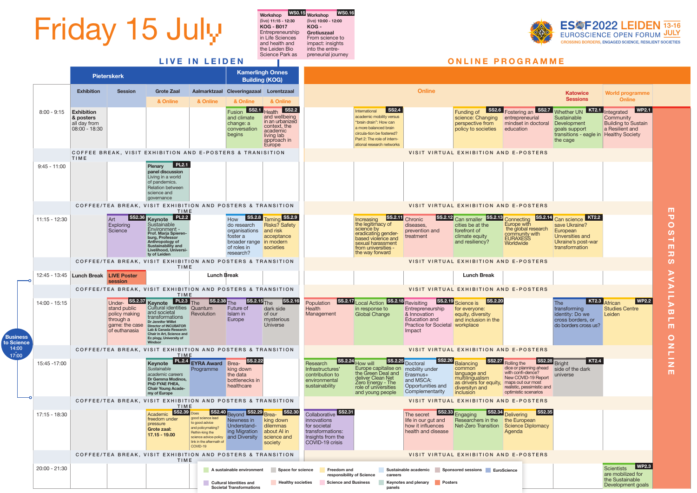

|                                                                                               | <b>Katowice</b><br><b>Sessions</b>                                                                                     | <b>World programme</b><br><b>Online</b>                                                                            |                   |
|-----------------------------------------------------------------------------------------------|------------------------------------------------------------------------------------------------------------------------|--------------------------------------------------------------------------------------------------------------------|-------------------|
| SS2.7<br>an<br>eurial<br>n doctoral<br>ï                                                      | <b>KT2.1</b><br><b>Whether UN</b><br>Sustainable<br>Development<br>goals support<br>transitions - eagle in<br>the cage | <b>WP2.1</b><br>Integrated<br>Community<br><b>Building to Sustain</b><br>a Resilient and<br><b>Healthy Society</b> |                   |
| <b>STERS</b>                                                                                  |                                                                                                                        |                                                                                                                    |                   |
|                                                                                               |                                                                                                                        |                                                                                                                    |                   |
| <b>STERS</b>                                                                                  |                                                                                                                        |                                                                                                                    | ш                 |
| $ \mathsf{SS.2.14} $<br>ng<br>ith<br>ll research<br>ty with<br>SS<br>e                        | <b>KT2.2</b><br>Can science<br>save Ukraine?<br>European<br>Unversities and<br>Ukraine's post-war<br>transformation    |                                                                                                                    | POST<br>т<br>刀    |
| <b>STERS</b>                                                                                  |                                                                                                                        |                                                                                                                    | S                 |
|                                                                                               |                                                                                                                        |                                                                                                                    |                   |
| <b>STERS</b>                                                                                  |                                                                                                                        |                                                                                                                    |                   |
|                                                                                               | <b>KT2.3</b><br><b>The</b><br>transforming<br>identity: Do we<br>cross borders, or<br>do borders cross us?             | <b>WP2.2</b><br>African<br><b>Studies Centre</b><br>Leiden                                                         | AVAILAB<br>п<br>ш |
| <b>STERS</b>                                                                                  |                                                                                                                        |                                                                                                                    |                   |
| <b>SS2.28</b><br>nning ahead<br>dence?<br>D-19 Report<br>ur most<br>ssimistic and<br>cenarios | <b>KT2.4</b><br><b>Bright</b><br>side of the dark<br>universe                                                          |                                                                                                                    | ONLINI<br>т       |
| <b>STERS</b>                                                                                  |                                                                                                                        |                                                                                                                    |                   |
| <b>SS2.35</b><br>ean<br>Diplomacy                                                             |                                                                                                                        |                                                                                                                    |                   |
| <b>STERS</b>                                                                                  |                                                                                                                        |                                                                                                                    |                   |
|                                                                                               |                                                                                                                        | <b>WP2.3</b><br><b>Scientists</b><br>are mobilized for<br>the Sustainable<br>Development goals                     |                   |